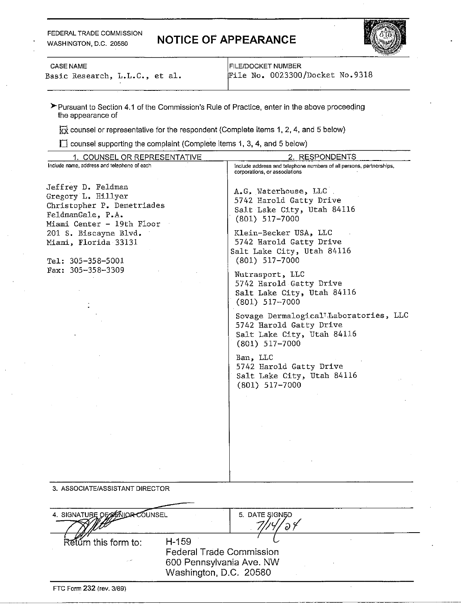#### FEDERAL TRADE COMMISSION WASHINGTON, D.C. 20580

# **NOTICE OF APPEARANCE**



Basic Research, L.L.C., et al.

CASE NAME<br>
Sasic Research, L.L.C., et al. FILE/DOCKET NUMBER<br>
File No. 0023300/Docket No.9318

\*Pursuant to Section 4.1 of the Commission's Rule of Practice, enter in the above proceeding the appearance of

 $\overrightarrow{xx}$  counsel or representative for the respondent (Complete items 1, 2, 4, and 5 below)

recomposed supporting the complaint (Complete items 1, 3, 4, and 5 below)<br>In counsel supporting the complaint (Complete items 1, 3, 4, and 5 below)

| 1. COUNSEL OR REPRESENTATIVE                | 2. RESPONDENTS                                                      |
|---------------------------------------------|---------------------------------------------------------------------|
| Include name, address and telephone of each | include address and telephone numbers of all persons, partnerships, |
|                                             | corporations, or associations                                       |
| Jeffrey D. Feldman                          |                                                                     |
| Gregory L. Hillyer                          | A.G. Waterhouse, LLC.                                               |
| Christopher P. Demetriades                  | 5742 Harold Gatty Drive                                             |
|                                             | Salt Lake City, Utah 84116                                          |
| FeldmanGale, P.A.                           | $(801)$ 517-7000                                                    |
| Miami Center - 19th Floor                   |                                                                     |
| 201 S. Biscayne Blvd.                       | Klein-Becker USA, LLC                                               |
| Miami, Florida 33131                        | 5742 Harold Gatty Drive                                             |
|                                             | Salt Lake City, Utah 84116                                          |
| Tel: 305-358-5001                           | $(801)$ 517-7000                                                    |
| Fax: 305-358-3309                           | Nutrasport, LLC                                                     |
|                                             | 5742 Harold Gatty Drive                                             |
|                                             | Salt Lake City, Utah 84116                                          |
|                                             | $(801)$ 517-7000                                                    |
|                                             |                                                                     |
|                                             | Sovage Dermalogical <sup>1</sup> Laboratories, LLC                  |
|                                             | 5742 Harold Gatty Drive                                             |
|                                             | Salt Lake City, Utah 84116                                          |
|                                             | $(801)$ 517-7000                                                    |
|                                             | Ban, LLC                                                            |
|                                             | 5742 Harold Gatty Drive                                             |
|                                             | Salt Lake City, Utah 84116                                          |
|                                             | $(801)$ 517-7000                                                    |
|                                             |                                                                     |
|                                             |                                                                     |
|                                             |                                                                     |
|                                             |                                                                     |
|                                             |                                                                     |
|                                             |                                                                     |
|                                             |                                                                     |
|                                             |                                                                     |
|                                             |                                                                     |
|                                             |                                                                     |
|                                             |                                                                     |
| 3. ASSOCIATE/ASSISTANT DIRECTOR             |                                                                     |
|                                             |                                                                     |
|                                             |                                                                     |
| 4. SIGNATURE OF SENIOR COUNSEL              | 5. DATE SIGNED                                                      |
|                                             |                                                                     |
|                                             |                                                                     |
| $H - 159$<br>Retúrn this form to:           |                                                                     |
|                                             | <b>Federal Trade Commission</b>                                     |
|                                             | 600 Pennsylvania Ave. NW                                            |
|                                             | Washington, D.C. 20580                                              |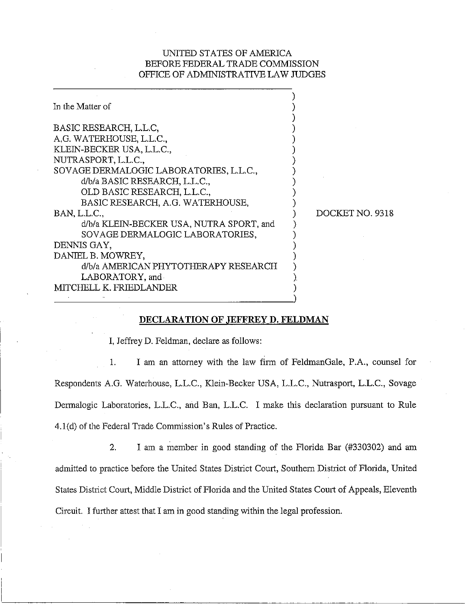# UNITED STATES OF AMERICA BEFORE FEDERAL TRADE COMMISSION OFFICE OF ADMINISTRATIVE LAW JUDGES

| In the Matter of                         |                 |
|------------------------------------------|-----------------|
|                                          |                 |
| BASIC RESEARCH, L.L.C.                   |                 |
| A.G. WATERHOUSE, L.L.C.,                 |                 |
| KLEIN-BECKER USA, L.L.C.,                |                 |
| NUTRASPORT, L.L.C.,                      |                 |
| SOVAGE DERMALOGIC LABORATORIES, L.L.C.,  |                 |
| d/b/a BASIC RESEARCH, L.L.C.,            |                 |
| OLD BASIC RESEARCH, L.L.C.,              |                 |
| BASIC RESEARCH, A.G. WATERHOUSE,         |                 |
| BAN, L.L.C.,                             | DOCKET NO. 9318 |
| d/b/a KLEIN-BECKER USA, NUTRA SPORT, and |                 |
| SOVAGE DERMALOGIC LABORATORIES,          |                 |
| DENNIS GAY,                              |                 |
| DANIEL B. MOWREY,                        |                 |
| d/b/a AMERICAN PHYTOTHERAPY RESEARCH     |                 |
| LABORATORY, and                          |                 |
| MITCHELL K. FRIEDLANDER                  |                 |
|                                          |                 |

#### **DECLARATION OF JEFFREY D. FELDMAN**

I, Jeffrey D. Feldman, declare as follows:

1. I am an attorney with the law firm of FeldmanGale, P.A., counsel for Respondents A.G. Waterhouse, L.L.C., Klein-Becker USA, L.L.C., Nutrasport, L.L.C., Sovage Demalogic Laboratories, L.L.C., and Ban, L.L.C. I make this declaration pursuant to Rule 4.l(d) of the Federal Trade Commission's Rules of Practice.

2. I am a member in good standing of the Florida Bar (#330302) and am admitted to practice before the United States District Court, Southern District of Florida, United States District Court, Middle District of Florida and the United States Court of Appeals, Eleventh Circuit. I further attest that I am in good standing within the legal profession.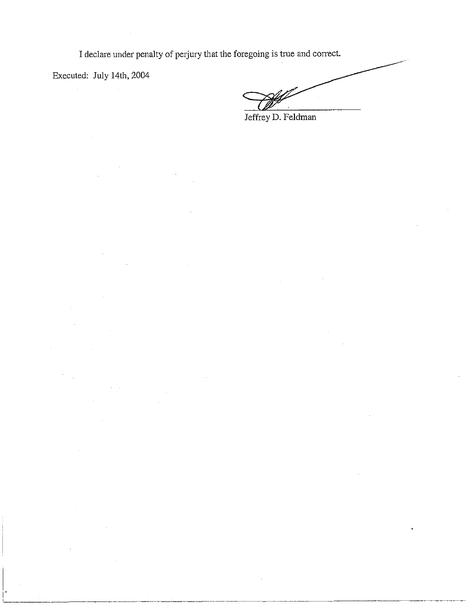I declare under penalty of perjury that the foregoing is true and correct.

Executed: July 14th, 2004

Jeffrey D. Feldman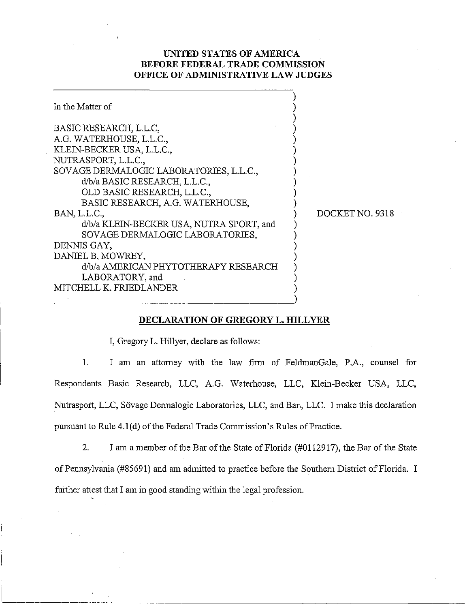# UNITED STATES OF AMERICA BEFORE FEDERAL TRADE COMMISSION OFFICE OF ADMINISTRATIVE LAW JUDGES

| In the Matter of                                                                                                                                                                                                                                                                                                                                                                                                                                                               |                 |
|--------------------------------------------------------------------------------------------------------------------------------------------------------------------------------------------------------------------------------------------------------------------------------------------------------------------------------------------------------------------------------------------------------------------------------------------------------------------------------|-----------------|
| BASIC RESEARCH, L.L.C.<br>A.G. WATERHOUSE, L.L.C.,<br>KLEIN-BECKER USA, L.L.C.,<br>NUTRASPORT, L.L.C.,<br>SOVAGE DERMALOGIC LABORATORIES, L.L.C.,<br>d/b/a BASIC RESEARCH, L.L.C.,<br>OLD BASIC RESEARCH, L.L.C.,<br>BASIC RESEARCH, A.G. WATERHOUSE,<br>BAN, L.L.C.,<br>d/b/a KLEIN-BECKER USA, NUTRA SPORT, and<br>SOVAGE DERMALOGIC LABORATORIES,<br>DENNIS GAY,<br>DANIEL B. MOWREY,<br>d/b/a AMERICAN PHYTOTHERAPY RESEARCH<br>LABORATORY, and<br>MITCHELL K. FRIEDLANDER | DOCKET NO. 9318 |
|                                                                                                                                                                                                                                                                                                                                                                                                                                                                                |                 |

### DECLARATION OF GREGORY L. HILLYER

I, Gregory L. Hillyer, declare as follows:

 $1.$ I am an attorney with the law firm of FeldmanGale, P.A., counsel for Respondents Basic Research, LLC, A.G. Waterhouse, LLC, Klein-Becker USA, LLC, Nutrasport, LLC, Sövage Dermalogic Laboratories, LLC, and Ban, LLC. I make this declaration pursuant to Rule 4.1(d) of the Federal Trade Commission's Rules of Practice.

 $2.$ I am a member of the Bar of the State of Florida (#0112917), the Bar of the State of Pennsylvania (#85691) and am admitted to practice before the Southern District of Florida. I further attest that I am in good standing within the legal profession.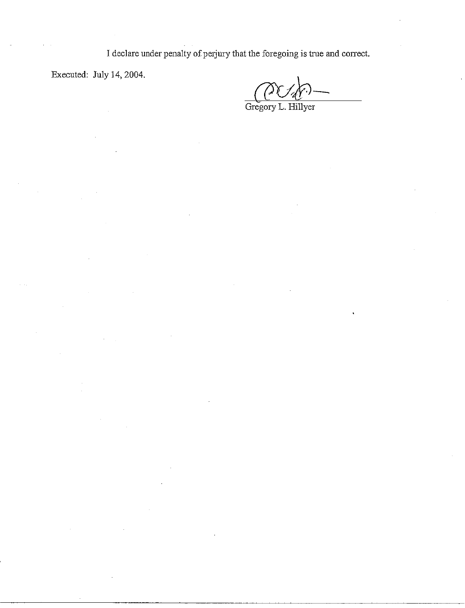I declare under penalty of perjury that the foregoing is true and correct.

Executed: July 14, 2004.

Gregory L. Hillyer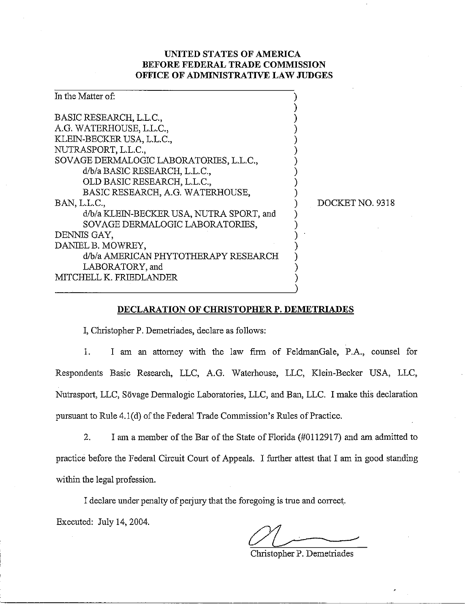# **UNITED STATES OF AMERICA BEFORE FEDERAL TRADE COMMISSION OFFICE OF ADMINISTRATIVE LAW JUDGES**

| In the Matter of:                        |                 |
|------------------------------------------|-----------------|
| BASIC RESEARCH, L.L.C.,                  |                 |
| A.G. WATERHOUSE, L.L.C.,                 |                 |
| KLEIN-BECKER USA, L.L.C.,                |                 |
| NUTRASPORT, L.L.C.,                      |                 |
| SOVAGE DERMALOGIC LABORATORIES, L.L.C.,  |                 |
| d/b/a BASIC RESEARCH, L.L.C.,            |                 |
| OLD BASIC RESEARCH, L.L.C.,              |                 |
| BASIC RESEARCH, A.G. WATERHOUSE,         |                 |
| BAN, L.L.C.,                             | DOCKET NO. 9318 |
| d/b/a KLEIN-BECKER USA, NUTRA SPORT, and |                 |
| SOVAGE DERMALOGIC LABORATORIES,          |                 |
| DENNIS GAY,                              |                 |
| DANIEL B. MOWREY,                        |                 |
| d/b/a AMERICAN PHYTOTHERAPY RESEARCH     |                 |
| LABORATORY, and                          |                 |
| MITCHELL K. FRIEDLANDER                  |                 |
|                                          |                 |

## **DECLARATION OF CHRISTOPHER P. DEMETRIADES**

I, Christopher P. Demetriades, declare as follows:

1. I am an attorney with the law firm of FeldmanGale, P.A., counsel for Respondents Basic Research, LLC, A.G. Waterhouse, LLC, Klein-Becker USA, LLC, Nutrasport, LLC, Sövage Dermalogic Laboratories, LLC, and Ban, LLC. I make this declaration pursuant to Rule 4.1(d) of the Federal Trade Commission's Rules of Practice.

2. I an a member of the Bar of the State of Florida **(#0112917)** and am admitted to practice before the Federal Circuit Court of Appeals. I further attest that I am in good standing within the legal profession.

I declare under penalty of perjury that the foregoing is true and correct.

Executed: July **14,2004.** 

Christopher P. Demetriades